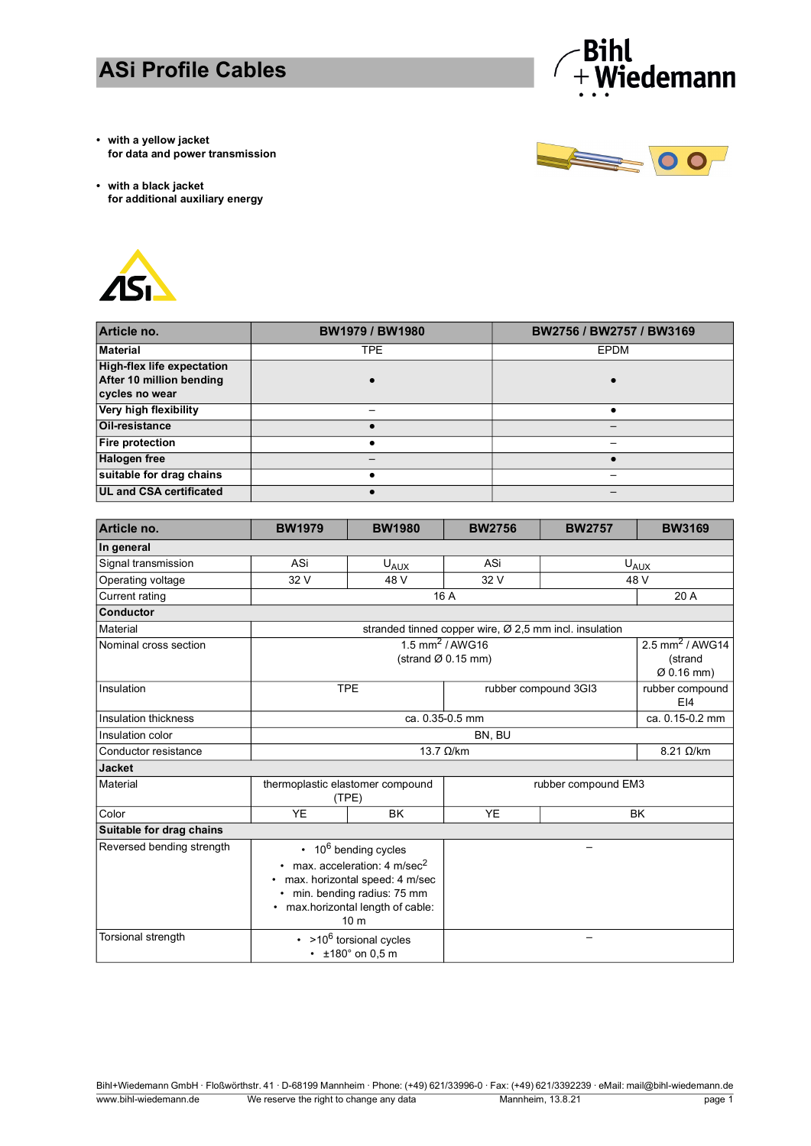## **ASi Profile Cables**



**• with a yellow jacket for data and power transmission** 



**• with a black jacket for additional auxiliary energy** 



| Article no.                                                                     | <b>BW1979 / BW1980</b> | BW2756 / BW2757 / BW3169 |
|---------------------------------------------------------------------------------|------------------------|--------------------------|
| <b>Material</b>                                                                 | TPE.                   | <b>EPDM</b>              |
| <b>High-flex life expectation</b><br>After 10 million bending<br>cycles no wear |                        |                          |
| Very high flexibility                                                           |                        |                          |
| Oil-resistance                                                                  |                        |                          |
| <b>Fire protection</b>                                                          |                        |                          |
| <b>Halogen free</b>                                                             |                        |                          |
| suitable for drag chains                                                        |                        |                          |
| <b>UL and CSA certificated</b>                                                  |                        |                          |

| Article no.               | <b>BW1979</b>                                                                                                                                                                                                       | <b>BW1980</b> | <b>BW2756</b>                                                      | <b>BW2757</b>            | <b>BW3169</b>          |
|---------------------------|---------------------------------------------------------------------------------------------------------------------------------------------------------------------------------------------------------------------|---------------|--------------------------------------------------------------------|--------------------------|------------------------|
| In general                |                                                                                                                                                                                                                     |               |                                                                    |                          |                        |
| Signal transmission       | ASi                                                                                                                                                                                                                 | $U_{AUX}$     | ASi                                                                | $U_{A\cup\underline{X}}$ |                        |
| Operating voltage         | 32 V                                                                                                                                                                                                                | 48 V          | 32 V                                                               | 48 V                     |                        |
| <b>Current rating</b>     |                                                                                                                                                                                                                     | 16 A          |                                                                    |                          | 20 A                   |
| <b>Conductor</b>          |                                                                                                                                                                                                                     |               |                                                                    |                          |                        |
| <b>Material</b>           |                                                                                                                                                                                                                     |               | stranded tinned copper wire, $\varnothing$ 2,5 mm incl. insulation |                          |                        |
| Nominal cross section     | $1.5$ mm <sup>2</sup> / AWG16<br>(strand $\varnothing$ 0.15 mm)                                                                                                                                                     |               | 2.5 mm <sup>2</sup> / AWG14<br>(strand<br>$\varnothing$ 0.16 mm)   |                          |                        |
| Insulation                | <b>TPE</b>                                                                                                                                                                                                          |               | rubber compound 3GI3                                               |                          | rubber compound<br>E14 |
| Insulation thickness      | ca. 0.35-0.5 mm                                                                                                                                                                                                     |               |                                                                    | ca. 0.15-0.2 mm          |                        |
| Insulation color          | BN, BU                                                                                                                                                                                                              |               |                                                                    |                          |                        |
| Conductor resistance      | $13.7 \Omega/km$                                                                                                                                                                                                    |               | $8.21 \Omega/km$                                                   |                          |                        |
| <b>Jacket</b>             |                                                                                                                                                                                                                     |               |                                                                    |                          |                        |
| <b>Material</b>           | thermoplastic elastomer compound<br>(TPE)                                                                                                                                                                           |               | rubber compound EM3                                                |                          |                        |
| Color                     | <b>YE</b><br><b>YE</b><br><b>BK</b>                                                                                                                                                                                 |               | <b>BK</b>                                                          |                          |                        |
| Suitable for drag chains  |                                                                                                                                                                                                                     |               |                                                                    |                          |                        |
| Reversed bending strength | $\cdot$ 10 <sup>6</sup> bending cycles<br>$\cdot$ max. acceleration: 4 m/sec <sup>2</sup><br>• max. horizontal speed: 4 m/sec<br>min. bending radius: 75 mm<br>• max.horizontal length of cable:<br>10 <sub>m</sub> |               |                                                                    |                          |                        |
| Torsional strength        | $\cdot$ >10 <sup>6</sup> torsional cycles<br>$\cdot$ ±180° on 0.5 m                                                                                                                                                 |               |                                                                    |                          |                        |